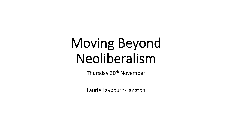# Moving Beyond Neoliberalism

Thursday 30<sup>th</sup> November

Laurie Laybourn-Langton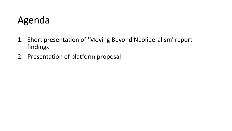#### Agenda

- 1. Short presentation of 'Moving Beyond Neoliberalism' report findings
- 2. Presentation of platform proposal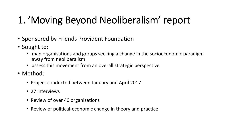# 1. 'Moving Beyond Neoliberalism' report

- Sponsored by Friends Provident Foundation
- Sought to:
	- map organisations and groups seeking a change in the socioeconomic paradigm away from neoliberalism
	- assess this movement from an overall strategic perspective
- Method:
	- Project conducted between January and April 2017
	- 27 interviews
	- Review of over 40 organisations
	- Review of political-economic change in theory and practice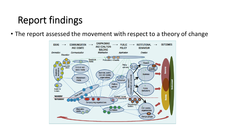• The report assessed the movement with respect to a theory of change

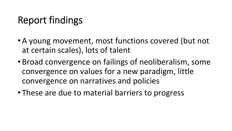- A young movement, most functions covered (but not at certain scales), lots of talent
- Broad convergence on failings of neoliberalism, some convergence on values for a new paradigm, little convergence on narratives and policies
- These are due to material barriers to progress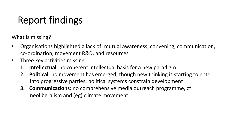What is missing?

- Organisations highlighted a lack of: mutual awareness, convening, communication, co-ordination, movement R&D, and resources
- Three key activities missing:
	- **1.** Intellectual: no coherent intellectual basis for a new paradigm
	- **2.** Political: no movement has emerged, though new thinking is starting to enter into progressive parties; political systems constrain development
	- **3. Communications:** no comprehensive media outreach programme, cf neoliberalism and (eg) climate movement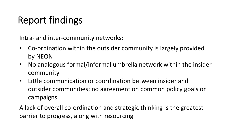Intra- and inter-community networks:

- Co-ordination within the outsider community is largely provided by NEON
- No analogous formal/informal umbrella network within the insider community
- Little communication or coordination between insider and outsider communities; no agreement on common policy goals or campaigns

A lack of overall co-ordination and strategic thinking is the greatest barrier to progress, along with resourcing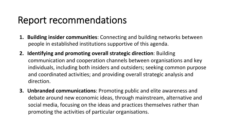#### Report recommendations

- **1. Building insider communities**: Connecting and building networks between people in established institutions supportive of this agenda.
- **2.** Identifying and promoting overall strategic direction: Building communication and cooperation channels between organisations and key individuals, including both insiders and outsiders; seeking common purpose and coordinated activities; and providing overall strategic analysis and direction.
- **3. Unbranded communications**: Promoting public and elite awareness and debate around new economic ideas, through mainstream, alternative and social media, focusing on the ideas and practices themselves rather than promoting the activities of particular organisations.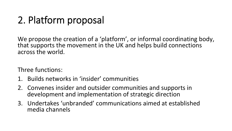# 2. Platform proposal

We propose the creation of a 'platform', or informal coordinating body, that supports the movement in the UK and helps build connections across the world.

Three functions:

- 1. Builds networks in 'insider' communities
- 2. Convenes insider and outsider communities and supports in development and implementation of strategic direction
- 3. Undertakes 'unbranded' communications aimed at established media channels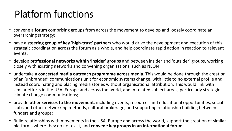# Platform functions

- convene a forum comprising groups from across the movement to develop and loosely coordinate an overarching strategy;
- have a steering group of key 'high-trust' partners who would drive the development and execution of this strategic coordination across the forum as a whole, and help coordinate rapid action in reaction to relevant events;
- develop professional networks within 'insider' groups and between insider and 'outsider' groups, working closely with existing networks and convening organisations, such as NEON
- undertake a **concerted media outreach programme across media**. This would be done through the creation of an 'unbranded' communications unit for economic systems change, with little to no external profile and instead coordinating and placing media stories without organisational attribution. This would link with similar efforts in the USA, Europe and across the world, and in related subject areas, particularly strategic climate change communications;
- provide other services to the movement, including events, resources and educational opportunities, social clubs and other networking methods, cultural brokerage, and supporting relationship building between funders and groups;
- Build relationships with movements in the USA, Europe and across the world, support the creation of similar platforms where they do not exist, and **convene key groups in an international forum**.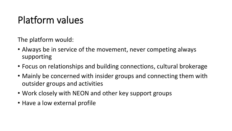### Platform values

The platform would:

- Always be in service of the movement, never competing always supporting
- Focus on relationships and building connections, cultural brokerage
- Mainly be concerned with insider groups and connecting them with outsider groups and activities
- Work closely with NEON and other key support groups
- Have a low external profile